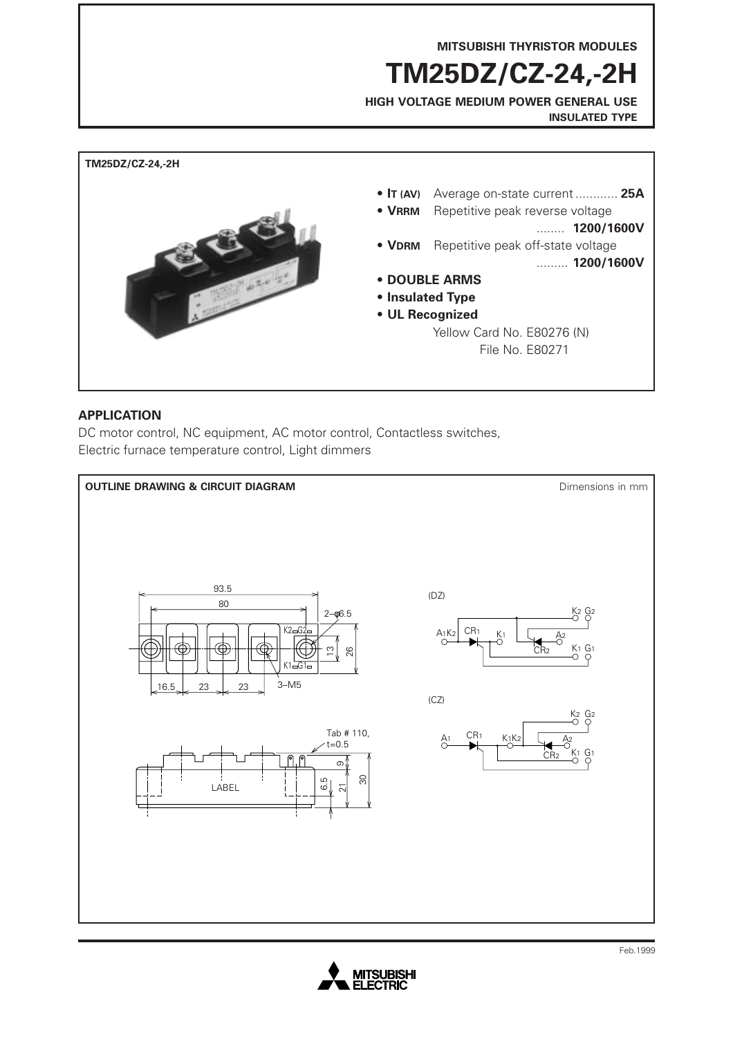**MITSUBISHI THYRISTOR MODULES**

**TM25DZ/CZ-24,-2H**

**HIGH VOLTAGE MEDIUM POWER GENERAL USE INSULATED TYPE**



### **APPLICATION**

DC motor control, NC equipment, AC motor control, Contactless switches, Electric furnace temperature control, Light dimmers



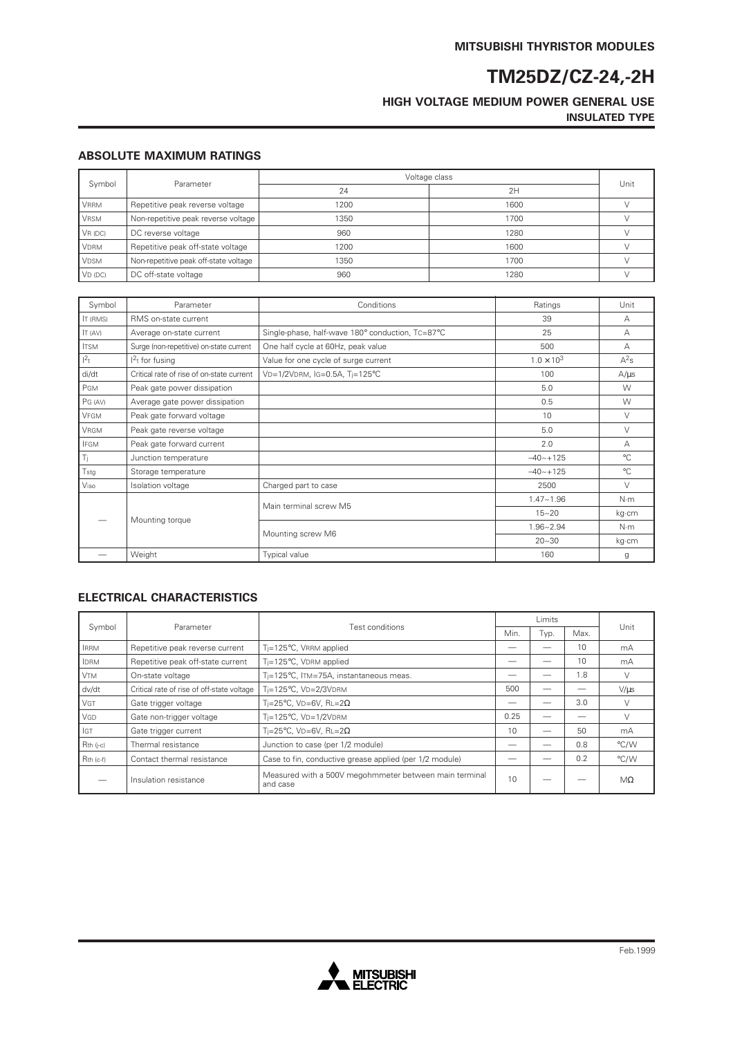# **TM25DZ/CZ-24,-2H**

### **HIGH VOLTAGE MEDIUM POWER GENERAL USE INSULATED TYPE**

#### **ABSOLUTE MAXIMUM RATINGS**

| Symbol      | Parameter                             | Voltage class |      |      |
|-------------|---------------------------------------|---------------|------|------|
|             |                                       | 24            | 2H   | Unit |
| <b>VRRM</b> | Repetitive peak reverse voltage       | 1200          | 1600 |      |
| <b>VRSM</b> | Non-repetitive peak reverse voltage   | 1350          | 1700 |      |
| $VR$ (DC)   | DC reverse voltage                    | 960           | 1280 |      |
| <b>VDRM</b> | Repetitive peak off-state voltage     | 1200          | 1600 |      |
| <b>VDSM</b> | Non-repetitive peak off-state voltage | 1350          | 1700 |      |
| $VD$ (DC)   | DC off-state voltage                  | 960           | 1280 |      |

| Symbol          | Parameter                                 | Conditions                                       | Ratings             | Unit         |
|-----------------|-------------------------------------------|--------------------------------------------------|---------------------|--------------|
| <b>IT (RMS)</b> | RMS on-state current                      | 39                                               |                     | А            |
| IT (AV)         | Average on-state current                  | Single-phase, half-wave 180° conduction, TC=87°C | 25                  | А            |
| <b>ITSM</b>     | Surge (non-repetitive) on-state current   | One half cycle at 60Hz, peak value               | 500                 | А            |
| $1^2$ t         | $12t$ for fusing                          | Value for one cycle of surge current             | $1.0 \times 10^{3}$ | $A^2s$       |
| di/dt           | Critical rate of rise of on-state current | VD=1/2VDRM, IG=0.5A, Ti=125°C                    | 100                 | $A/\mu s$    |
| PGM             | Peak gate power dissipation               |                                                  | 5.0                 | W            |
| PG (AV)         | Average gate power dissipation            |                                                  | 0.5                 | W            |
| VFGM            | Peak gate forward voltage                 |                                                  | 10                  | V            |
| <b>VRGM</b>     | Peak gate reverse voltage                 |                                                  | 5.0                 | $\vee$       |
| <b>IFGM</b>     | Peak gate forward current                 |                                                  | 2.0                 | А            |
| Tì.             | Junction temperature                      |                                                  | $-40 - +125$        | $^{\circ}$ C |
| Tstg            | Storage temperature                       |                                                  | $-40 - +125$        | $^{\circ}$ C |
| Viso            | Isolation voltage                         | Charged part to case                             | 2500                | $\vee$       |
|                 | Mounting torque                           | Main terminal screw M5                           | $1.47 - 1.96$       | $N \cdot m$  |
|                 |                                           |                                                  | $15 - 20$           | kg∙cm        |
|                 |                                           |                                                  | $1.96 - 2.94$       | N·m          |
|                 |                                           | Mounting screw M6                                | $20 - 30$           | kg·cm        |
|                 | Weight                                    | <b>Typical value</b>                             | 160                 | g            |

#### **ELECTRICAL CHARACTERISTICS**

| Symbol      | Parameter                                  |                                                                    | Limits |      |      |           |
|-------------|--------------------------------------------|--------------------------------------------------------------------|--------|------|------|-----------|
|             |                                            | Test conditions                                                    |        | Typ. | Max. | Unit      |
| <b>IRRM</b> | Repetitive peak reverse current            | T <sub>i</sub> =125°C, VRRM applied                                |        |      | 10   | mA        |
| <b>IDRM</b> | Repetitive peak off-state current          | T <sub>i</sub> =125°C, VDRM applied                                |        |      | 10   | mA        |
| <b>VTM</b>  | On-state voltage                           | Ti=125°C, ITM=75A, instantaneous meas.                             |        |      | 1.8  |           |
| dv/dt       | Critical rate of rise of off-state voltage | Ti=125°C, VD=2/3VDRM                                               | 500    |      |      | $V/\mu s$ |
| <b>VGT</b>  | Gate trigger voltage                       | Ti=25°C, VD=6V, RL=2 $\Omega$                                      |        |      | 3.0  |           |
| VGD         | Gate non-trigger voltage                   | $T_i = 125$ °C, VD= $1/2$ VDRM                                     | 0.25   |      |      |           |
| GT          | Gate trigger current                       | Ti=25°C. VD=6V. RL=2 $\Omega$                                      | 10     |      | 50   | mA        |
| $Rth$ (j-c) | Thermal resistance                         | Junction to case (per 1/2 module)                                  |        |      | 0.8  | °C/W      |
| Rth (c-f)   | Contact thermal resistance                 | Case to fin, conductive grease applied (per 1/2 module)            |        |      | 0.2  | °C/W      |
|             | Insulation resistance                      | Measured with a 500V megohmmeter between main terminal<br>and case | 10     |      |      | $M\Omega$ |

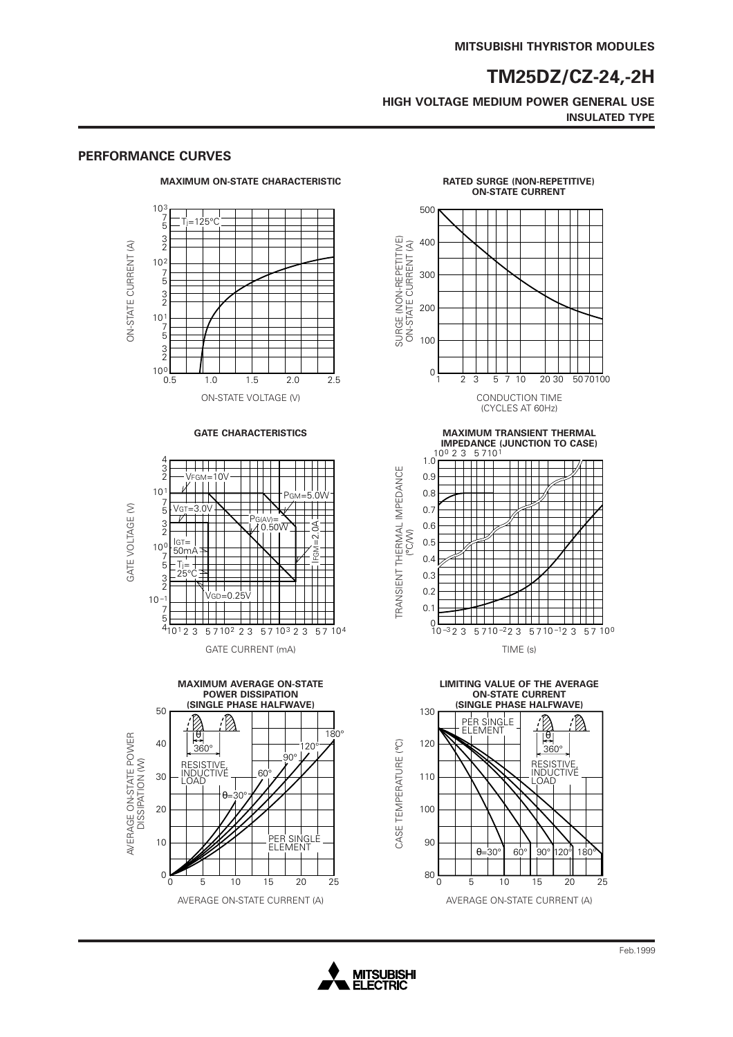## **TM25DZ/CZ-24,-2H**

**HIGH VOLTAGE MEDIUM POWER GENERAL USE INSULATED TYPE**



#### **PERFORMANCE CURVES**

10

 $3.0V$ 

T T N

 $\Box$ 

 $10<sup>c</sup>$ 

GATE VOLTAGE (V)

GATE VOLTAGE (V)

 $\frac{1}{50}$ m

V

 $\top$ 25°C

 $10 - \frac{1}{7}$ 

7 5 4











 $10<sup>1</sup>2$  3 5 7 10  $2$  2 3 5 7 10  $3$  2 3 5 7 10  $4$ 

 $0.50M$ 

 $V$ GD $=$ 0.25V

T

 $IFGN=2.0A$ 

 $\lambda = 2$ .

Ē

 $\mathbb{R}^2$ 

TT

TRANSIENT THERMAL IMPEDANCE

TRANSIENT THERMAL IMPEDANCE

CASE TEMPERATURE (°C)

CASE TEMPERATURE (°C)

| | | | |<br>GM=5.0W